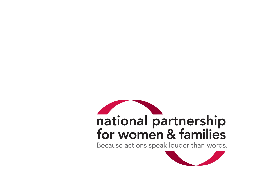# national partnership<br>for women & families

Because actions speak louder than words.

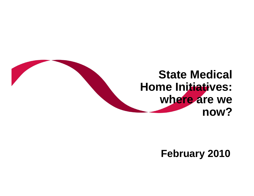# **State Medical Home Initiatives: where are we now?**

### **February 2010**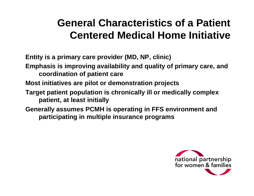## **General Characteristics of a Patient Centered Medical Home Initiative**

**Entity is a primary care provider (MD, NP, clinic)**

**Emphasis is improving availability and quality of primary care, and coordination of patient care**

**Most initiatives are pilot or demonstration projects**

- **Target patient population is chronically ill or medically complex patient, at least initially**
- **Generally assumes PCMH is operating in FFS environment and participating in multiple insurance programs**

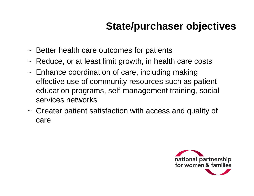## **State/purchaser objectives**

- ~ Better health care outcomes for patients
- ~ Reduce, or at least limit growth, in health care costs
- ~ Enhance coordination of care, including making effective use of community resources such as patient education programs, self-management training, social services networks
- ~ Greater patient satisfaction with access and quality of care

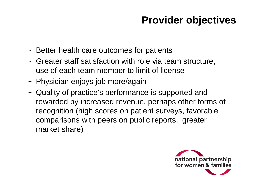## **Provider objectives**

- ~ Better health care outcomes for patients
- ~ Greater staff satisfaction with role via team structure, use of each team member to limit of license
- ~ Physician enjoys job more/again
- ~ Quality of practice's performance is supported and rewarded by increased revenue, perhaps other forms of recognition (high scores on patient surveys, favorable comparisons with peers on public reports, greater market share)

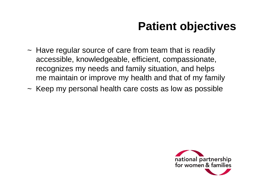# **Patient objectives**

- ~ Have regular source of care from team that is readily accessible, knowledgeable, efficient, compassionate, recognizes my needs and family situation, and helps me maintain or improve my health and that of my family
- ~ Keep my personal health care costs as low as possible

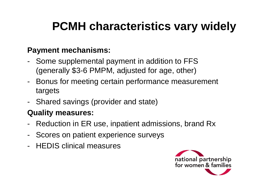# **PCMH characteristics vary widely**

#### **Payment mechanisms:**

- Some supplemental payment in addition to FFS (generally \$3-6 PMPM, adjusted for age, other)
- Bonus for meeting certain performance measurement targets
- Shared savings (provider and state)

#### **Quality measures:**

- Reduction in ER use, inpatient admissions, brand Rx
- Scores on patient experience surveys
- HEDIS clinical measures

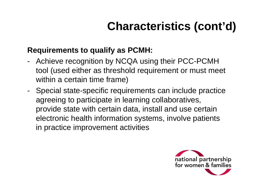# **Characteristics (cont'd)**

#### **Requirements to qualify as PCMH:**

- Achieve recognition by NCQA using their PCC-PCMH tool (used either as threshold requirement or must meet within a certain time frame)
- Special state-specific requirements can include practice agreeing to participate in learning collaboratives, provide state with certain data, install and use certain electronic health information systems, involve patients in practice improvement activities

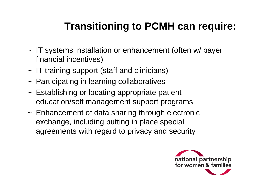# **Transitioning to PCMH can require:**

- ~ IT systems installation or enhancement (often w/ payer financial incentives)
- ~ IT training support (staff and clinicians)
- ~ Participating in learning collaboratives
- ~ Establishing or locating appropriate patient education/self management support programs
- ~ Enhancement of data sharing through electronic exchange, including putting in place special agreements with regard to privacy and security

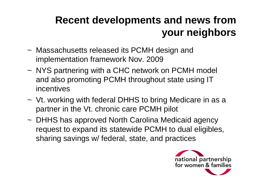# **Recent developments and news from your neighbors**

- ~ Massachusetts released its PCMH design and implementation framework Nov. 2009
- ~ NYS partnering with a CHC network on PCMH model and also promoting PCMH throughout state using IT incentives
- ~ Vt. working with federal DHHS to bring Medicare in as a partner in the Vt. chronic care PCMH pilot
- ~ DHHS has approved North Carolina Medicaid agency request to expand its statewide PCMH to dual eligibles, sharing savings w/ federal, state, and practices

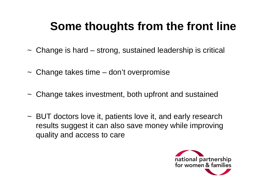# **Some thoughts from the front line**

- ~ Change is hard strong, sustained leadership is critical
- ~ Change takes time don't overpromise
- ~ Change takes investment, both upfront and sustained
- ~ BUT doctors love it, patients love it, and early research results suggest it can also save money while improving quality and access to care

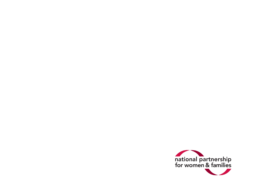